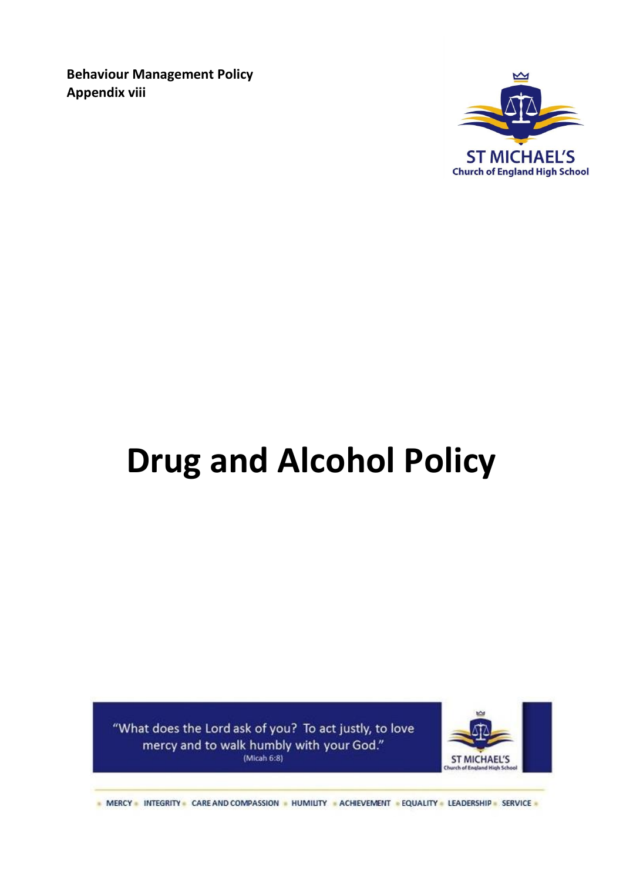**Behaviour Management Policy Appendix viii**



# **Drug and Alcohol Policy**

"What does the Lord ask of you? To act justly, to love mercy and to walk humbly with your God." (Micah 6:8)



- MERCY - INTEGRITY - CARE AND COMPASSION - HUMILITY - ACHIEVEMENT - EQUALITY - LEADERSHIP - SERVICE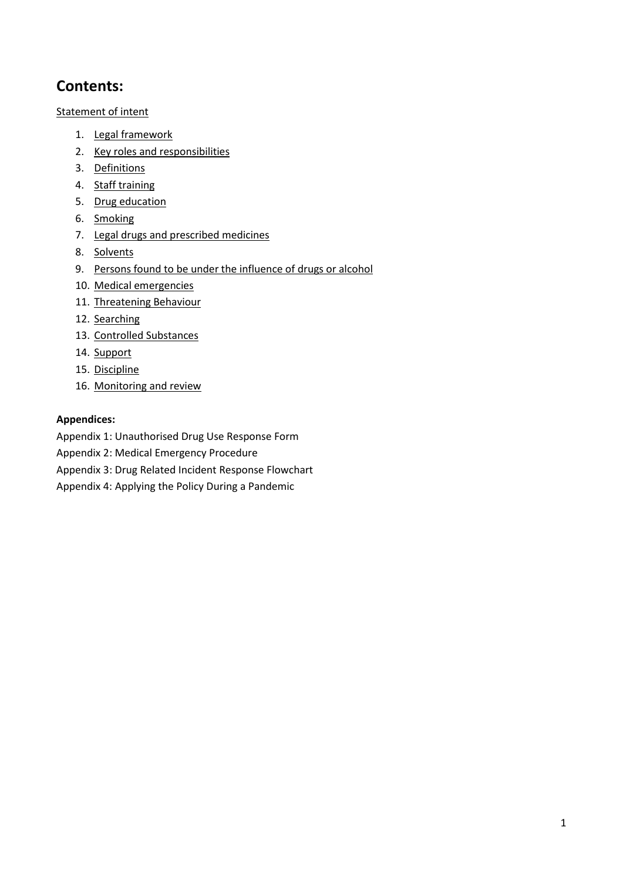# **Contents:**

[Statement of intent](#page-2-0)

- 1. [Legal framework](#page-2-1)
- 2. [Key roles and responsibilities](#page-3-0)
- 3. [Definitions](#page-5-0)
- 4. [Staff training](#page-5-1)
- 5. [Drug education](#page-5-2)
- 6. [Smoking](#page-5-3)
- 7. [Legal drugs and prescribed medicines](#page-5-4)
- 8. [Solvents](#page-6-0)
- 9. [Persons found to be under the influence of drugs or alcohol](#page-6-1)
- 10. [Medical emergencies](#page-6-2)
- 11. [Threatening Behaviour](#page-7-0)
- 12. [Searching](#page-7-1)
- 13. [Controlled Substances](#page-8-0)
- 14. [Support](#page-8-1)
- 15. [Discipline](#page-8-2)
- 16. [Monitoring and review](#page-9-0)

#### **Appendices:**

Appendix 1: Unauthorised Drug Use Response Form

- Appendix 2: Medical Emergency Procedure
- Appendix 3: Drug Related Incident Response Flowchart
- Appendix 4: Applying the Policy During a Pandemic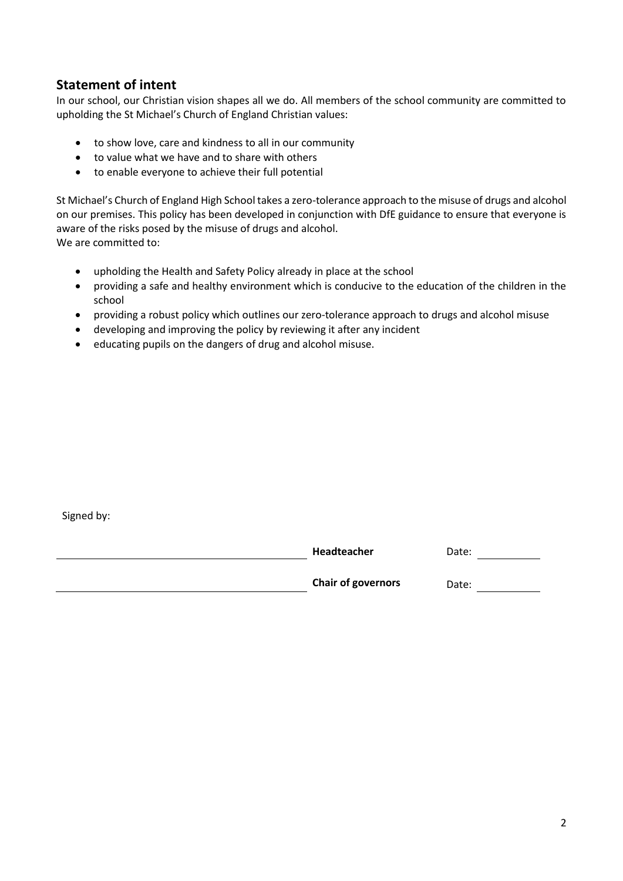## <span id="page-2-0"></span>**Statement of intent**

In our school, our Christian vision shapes all we do. All members of the school community are committed to upholding the St Michael's Church of England Christian values:

- to show love, care and kindness to all in our community
- to value what we have and to share with others
- to enable everyone to achieve their full potential

St Michael's Church of England High School takes a zero-tolerance approach to the misuse of drugs and alcohol on our premises. This policy has been developed in conjunction with DfE guidance to ensure that everyone is aware of the risks posed by the misuse of drugs and alcohol. We are committed to:

- upholding the Health and Safety Policy already in place at the school
- providing a safe and healthy environment which is conducive to the education of the children in the school
- providing a robust policy which outlines our zero-tolerance approach to drugs and alcohol misuse
- developing and improving the policy by reviewing it after any incident
- educating pupils on the dangers of drug and alcohol misuse.

Signed by:

<span id="page-2-1"></span>

| Headteacher               | Date: |
|---------------------------|-------|
| <b>Chair of governors</b> | Date: |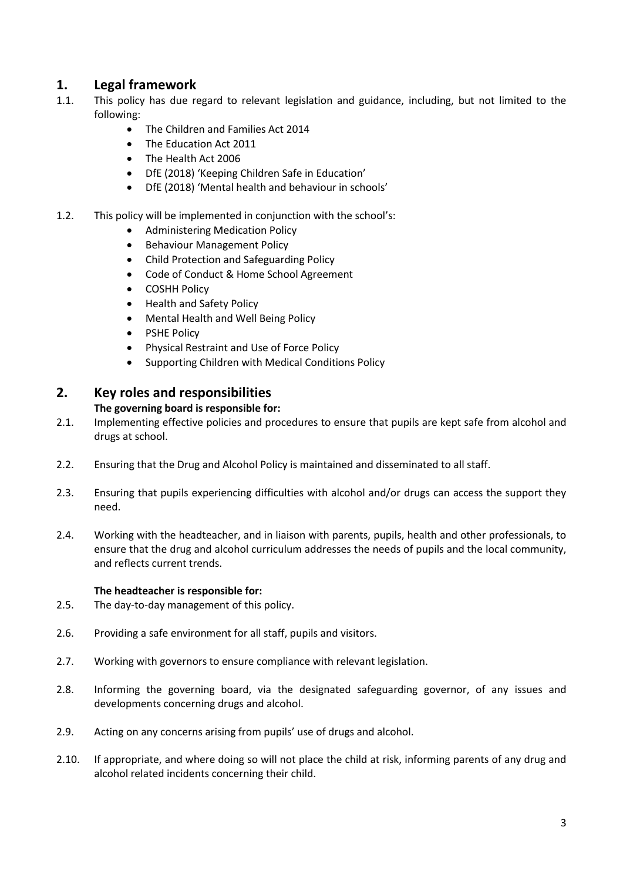## **1. Legal framework**

- 1.1. This policy has due regard to relevant legislation and guidance, including, but not limited to the following:
	- The Children and Families Act 2014
	- The Education Act 2011
	- The Health Act 2006
	- DfE (2018) 'Keeping Children Safe in Education'
	- DfE (2018) 'Mental health and behaviour in schools'
- 1.2. This policy will be implemented in conjunction with the school's:
	- Administering Medication Policy
	- Behaviour Management Policy
	- Child Protection and Safeguarding Policy
	- Code of Conduct & Home School Agreement
	- COSHH Policy
	- Health and Safety Policy
	- Mental Health and Well Being Policy
	- PSHE Policy
	- Physical Restraint and Use of Force Policy
	- Supporting Children with Medical Conditions Policy

## <span id="page-3-0"></span>**2. Key roles and responsibilities**

#### **The governing board is responsible for:**

- 2.1. Implementing effective policies and procedures to ensure that pupils are kept safe from alcohol and drugs at school.
- 2.2. Ensuring that the Drug and Alcohol Policy is maintained and disseminated to all staff.
- 2.3. Ensuring that pupils experiencing difficulties with alcohol and/or drugs can access the support they need.
- 2.4. Working with the headteacher, and in liaison with parents, pupils, health and other professionals, to ensure that the drug and alcohol curriculum addresses the needs of pupils and the local community, and reflects current trends.

#### **The headteacher is responsible for:**

- 2.5. The day-to-day management of this policy.
- 2.6. Providing a safe environment for all staff, pupils and visitors.
- 2.7. Working with governors to ensure compliance with relevant legislation.
- 2.8. Informing the governing board, via the designated safeguarding governor, of any issues and developments concerning drugs and alcohol.
- 2.9. Acting on any concerns arising from pupils' use of drugs and alcohol.
- 2.10. If appropriate, and where doing so will not place the child at risk, informing parents of any drug and alcohol related incidents concerning their child.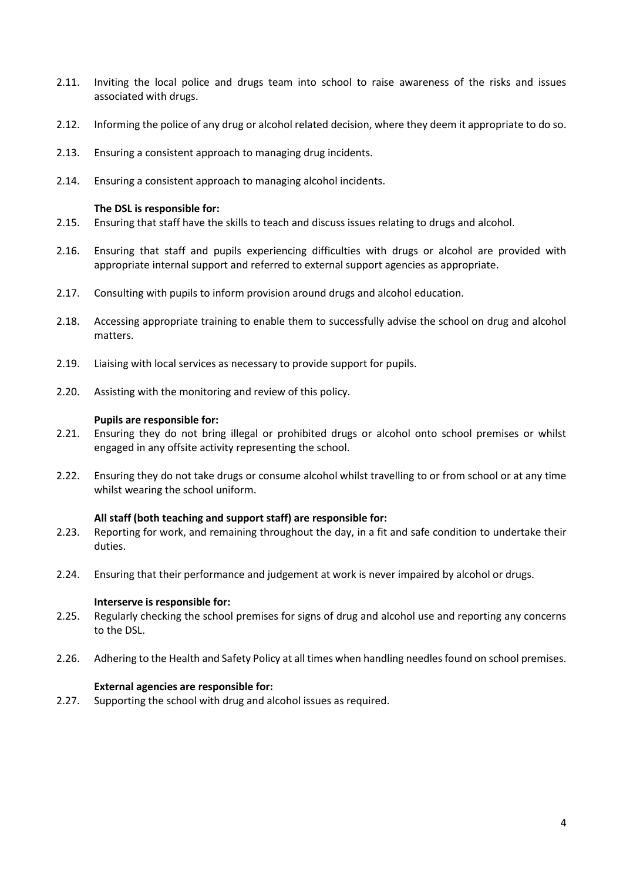- 2.11. Inviting the local police and drugs team into school to raise awareness of the risks and issues associated with drugs.
- 2.12. Informing the police of any drug or alcohol related decision, where they deem it appropriate to do so.
- 2.13. Ensuring a consistent approach to managing drug incidents.
- 2.14. Ensuring a consistent approach to managing alcohol incidents.

#### **The DSL is responsible for:**

- 2.15. Ensuring that staff have the skills to teach and discuss issues relating to drugs and alcohol.
- 2.16. Ensuring that staff and pupils experiencing difficulties with drugs or alcohol are provided with appropriate internal support and referred to external support agencies as appropriate.
- 2.17. Consulting with pupils to inform provision around drugs and alcohol education.
- 2.18. Accessing appropriate training to enable them to successfully advise the school on drug and alcohol matters.
- 2.19. Liaising with local services as necessary to provide support for pupils.
- 2.20. Assisting with the monitoring and review of this policy.

#### **Pupils are responsible for:**

- 2.21. Ensuring they do not bring illegal or prohibited drugs or alcohol onto school premises or whilst engaged in any offsite activity representing the school.
- 2.22. Ensuring they do not take drugs or consume alcohol whilst travelling to or from school or at any time whilst wearing the school uniform.

#### **All staff (both teaching and support staff) are responsible for:**

- 2.23. Reporting for work, and remaining throughout the day, in a fit and safe condition to undertake their duties.
- 2.24. Ensuring that their performance and judgement at work is never impaired by alcohol or drugs.

#### **Interserve is responsible for:**

- 2.25. Regularly checking the school premises for signs of drug and alcohol use and reporting any concerns to the DSL.
- 2.26. Adhering to the Health and Safety Policy at all times when handling needles found on school premises.

#### **External agencies are responsible for:**

2.27. Supporting the school with drug and alcohol issues as required.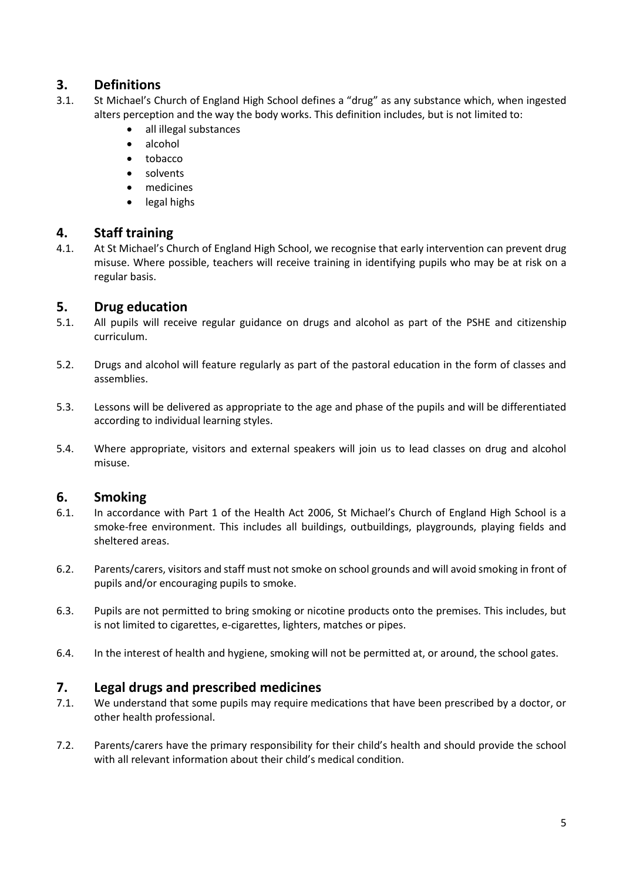## <span id="page-5-0"></span>**3. Definitions**

- 3.1. St Michael's Church of England High School defines a "drug" as any substance which, when ingested alters perception and the way the body works. This definition includes, but is not limited to:
	- all illegal substances
	- alcohol
	- tobacco
	- solvents
	- medicines
	- legal highs

## <span id="page-5-1"></span>**4. Staff training**

4.1. At St Michael's Church of England High School, we recognise that early intervention can prevent drug misuse. Where possible, teachers will receive training in identifying pupils who may be at risk on a regular basis.

## <span id="page-5-2"></span>**5. Drug education**

- 5.1. All pupils will receive regular guidance on drugs and alcohol as part of the PSHE and citizenship curriculum.
- 5.2. Drugs and alcohol will feature regularly as part of the pastoral education in the form of classes and assemblies.
- 5.3. Lessons will be delivered as appropriate to the age and phase of the pupils and will be differentiated according to individual learning styles.
- 5.4. Where appropriate, visitors and external speakers will join us to lead classes on drug and alcohol misuse.

## <span id="page-5-3"></span>**6. Smoking**

- 6.1. In accordance with Part 1 of the Health Act 2006, St Michael's Church of England High School is a smoke-free environment. This includes all buildings, outbuildings, playgrounds, playing fields and sheltered areas.
- 6.2. Parents/carers, visitors and staff must not smoke on school grounds and will avoid smoking in front of pupils and/or encouraging pupils to smoke.
- 6.3. Pupils are not permitted to bring smoking or nicotine products onto the premises. This includes, but is not limited to cigarettes, e-cigarettes, lighters, matches or pipes.
- <span id="page-5-4"></span>6.4. In the interest of health and hygiene, smoking will not be permitted at, or around, the school gates.

## **7. Legal drugs and prescribed medicines**

- 7.1. We understand that some pupils may require medications that have been prescribed by a doctor, or other health professional.
- 7.2. Parents/carers have the primary responsibility for their child's health and should provide the school with all relevant information about their child's medical condition.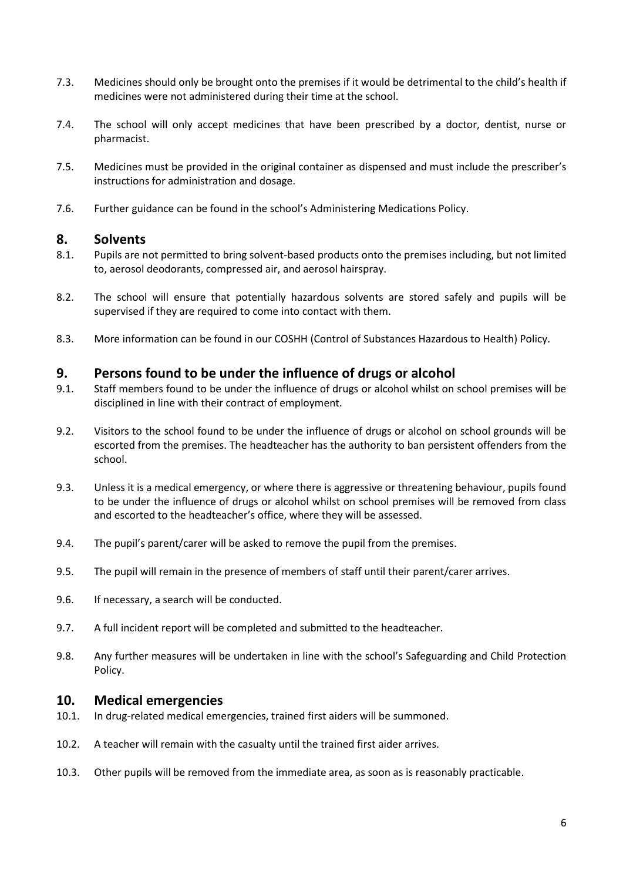- 7.3. Medicines should only be brought onto the premises if it would be detrimental to the child's health if medicines were not administered during their time at the school.
- 7.4. The school will only accept medicines that have been prescribed by a doctor, dentist, nurse or pharmacist.
- 7.5. Medicines must be provided in the original container as dispensed and must include the prescriber's instructions for administration and dosage.
- 7.6. Further guidance can be found in the school's Administering Medications Policy.

#### <span id="page-6-0"></span>**8. Solvents**

- 8.1. Pupils are not permitted to bring solvent-based products onto the premises including, but not limited to, aerosol deodorants, compressed air, and aerosol hairspray.
- 8.2. The school will ensure that potentially hazardous solvents are stored safely and pupils will be supervised if they are required to come into contact with them.
- <span id="page-6-1"></span>8.3. More information can be found in our COSHH (Control of Substances Hazardous to Health) Policy.

## **9. Persons found to be under the influence of drugs or alcohol**

- 9.1. Staff members found to be under the influence of drugs or alcohol whilst on school premises will be disciplined in line with their contract of employment.
- 9.2. Visitors to the school found to be under the influence of drugs or alcohol on school grounds will be escorted from the premises. The headteacher has the authority to ban persistent offenders from the school.
- 9.3. Unless it is a medical emergency, or where there is aggressive or threatening behaviour, pupils found to be under the influence of drugs or alcohol whilst on school premises will be removed from class and escorted to the headteacher's office, where they will be assessed.
- 9.4. The pupil's parent/carer will be asked to remove the pupil from the premises.
- 9.5. The pupil will remain in the presence of members of staff until their parent/carer arrives.
- 9.6. If necessary, a search will be conducted.
- 9.7. A full incident report will be completed and submitted to the headteacher.
- 9.8. Any further measures will be undertaken in line with the school's Safeguarding and Child Protection Policy.

## <span id="page-6-2"></span>**10. Medical emergencies**

- 10.1. In drug-related medical emergencies, trained first aiders will be summoned.
- 10.2. A teacher will remain with the casualty until the trained first aider arrives.
- 10.3. Other pupils will be removed from the immediate area, as soon as is reasonably practicable.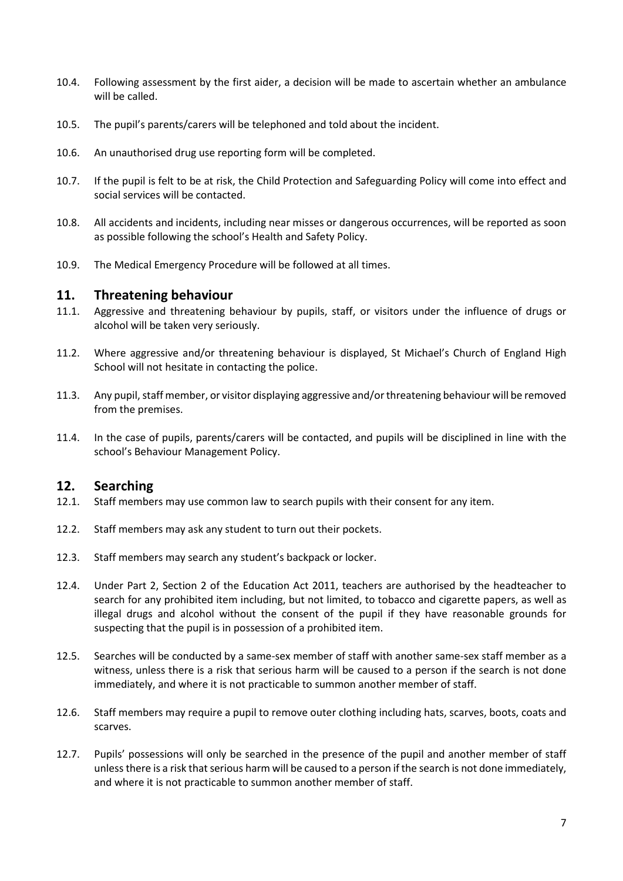- 10.4. Following assessment by the first aider, a decision will be made to ascertain whether an ambulance will be called.
- 10.5. The pupil's parents/carers will be telephoned and told about the incident.
- 10.6. An unauthorised drug use reporting form will be completed.
- 10.7. If the pupil is felt to be at risk, the Child Protection and Safeguarding Policy will come into effect and social services will be contacted.
- 10.8. All accidents and incidents, including near misses or dangerous occurrences, will be reported as soon as possible following the school's Health and Safety Policy.
- 10.9. The Medical Emergency Procedure will be followed at all times.

#### <span id="page-7-0"></span>**11. Threatening behaviour**

- 11.1. Aggressive and threatening behaviour by pupils, staff, or visitors under the influence of drugs or alcohol will be taken very seriously.
- 11.2. Where aggressive and/or threatening behaviour is displayed, St Michael's Church of England High School will not hesitate in contacting the police.
- 11.3. Any pupil, staff member, or visitor displaying aggressive and/or threatening behaviour will be removed from the premises.
- 11.4. In the case of pupils, parents/carers will be contacted, and pupils will be disciplined in line with the school's Behaviour Management Policy.

## <span id="page-7-1"></span>**12. Searching**

- 12.1. Staff members may use common law to search pupils with their consent for any item.
- 12.2. Staff members may ask any student to turn out their pockets.
- 12.3. Staff members may search any student's backpack or locker.
- 12.4. Under Part 2, Section 2 of the Education Act 2011, teachers are authorised by the headteacher to search for any prohibited item including, but not limited, to tobacco and cigarette papers, as well as illegal drugs and alcohol without the consent of the pupil if they have reasonable grounds for suspecting that the pupil is in possession of a prohibited item.
- 12.5. Searches will be conducted by a same-sex member of staff with another same-sex staff member as a witness, unless there is a risk that serious harm will be caused to a person if the search is not done immediately, and where it is not practicable to summon another member of staff.
- 12.6. Staff members may require a pupil to remove outer clothing including hats, scarves, boots, coats and scarves.
- 12.7. Pupils' possessions will only be searched in the presence of the pupil and another member of staff unless there is a risk that serious harm will be caused to a person if the search is not done immediately, and where it is not practicable to summon another member of staff.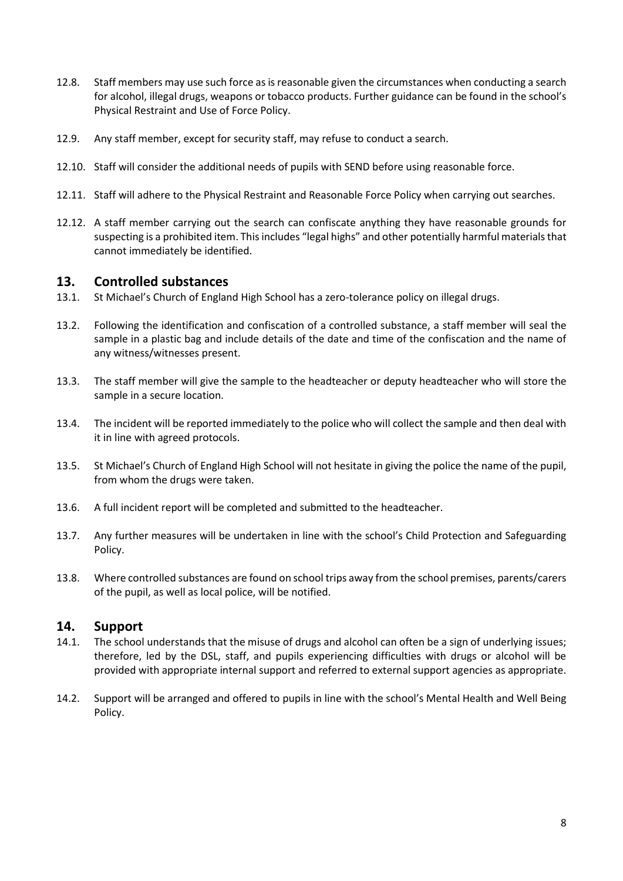- 12.8. Staff members may use such force as is reasonable given the circumstances when conducting a search for alcohol, illegal drugs, weapons or tobacco products. Further guidance can be found in the school's Physical Restraint and Use of Force Policy.
- 12.9. Any staff member, except for security staff, may refuse to conduct a search.
- 12.10. Staff will consider the additional needs of pupils with SEND before using reasonable force.
- 12.11. Staff will adhere to the Physical Restraint and Reasonable Force Policy when carrying out searches.
- <span id="page-8-0"></span>12.12. A staff member carrying out the search can confiscate anything they have reasonable grounds for suspecting is a prohibited item. This includes "legal highs" and other potentially harmful materials that cannot immediately be identified.

#### **13. Controlled substances**

- 13.1. St Michael's Church of England High School has a zero-tolerance policy on illegal drugs.
- 13.2. Following the identification and confiscation of a controlled substance, a staff member will seal the sample in a plastic bag and include details of the date and time of the confiscation and the name of any witness/witnesses present.
- 13.3. The staff member will give the sample to the headteacher or deputy headteacher who will store the sample in a secure location.
- 13.4. The incident will be reported immediately to the police who will collect the sample and then deal with it in line with agreed protocols.
- 13.5. St Michael's Church of England High School will not hesitate in giving the police the name of the pupil, from whom the drugs were taken.
- 13.6. A full incident report will be completed and submitted to the headteacher.
- 13.7. Any further measures will be undertaken in line with the school's Child Protection and Safeguarding Policy.
- 13.8. Where controlled substances are found on school trips away from the school premises, parents/carers of the pupil, as well as local police, will be notified.

## <span id="page-8-2"></span><span id="page-8-1"></span>**14. Support**

- 14.1. The school understands that the misuse of drugs and alcohol can often be a sign of underlying issues; therefore, led by the DSL, staff, and pupils experiencing difficulties with drugs or alcohol will be provided with appropriate internal support and referred to external support agencies as appropriate.
- 14.2. Support will be arranged and offered to pupils in line with the school's Mental Health and Well Being Policy.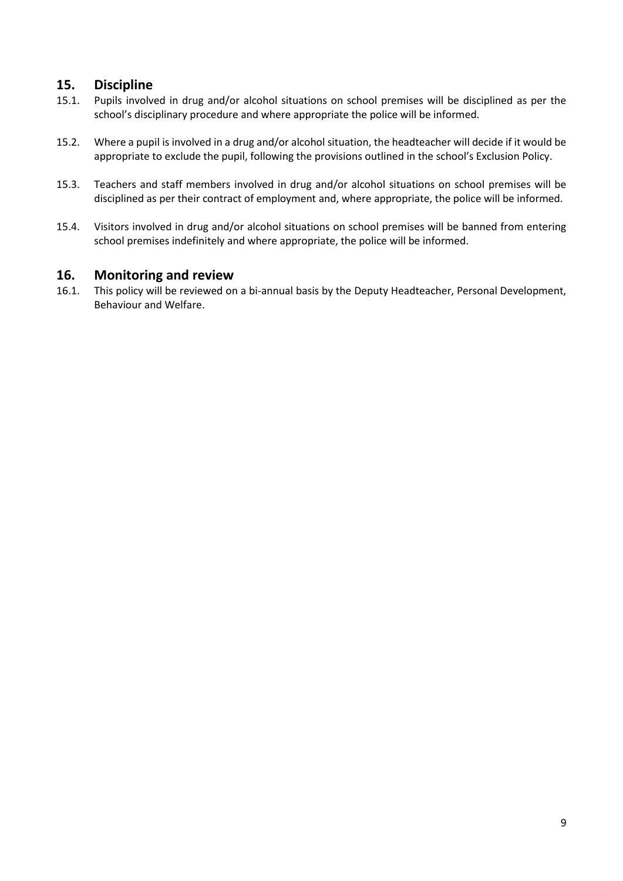## **15. Discipline**

- 15.1. Pupils involved in drug and/or alcohol situations on school premises will be disciplined as per the school's disciplinary procedure and where appropriate the police will be informed.
- 15.2. Where a pupil is involved in a drug and/or alcohol situation, the headteacher will decide if it would be appropriate to exclude the pupil, following the provisions outlined in the school's Exclusion Policy.
- 15.3. Teachers and staff members involved in drug and/or alcohol situations on school premises will be disciplined as per their contract of employment and, where appropriate, the police will be informed.
- 15.4. Visitors involved in drug and/or alcohol situations on school premises will be banned from entering school premises indefinitely and where appropriate, the police will be informed.

## <span id="page-9-0"></span>**16. Monitoring and review**

16.1. This policy will be reviewed on a bi-annual basis by the Deputy Headteacher, Personal Development, Behaviour and Welfare.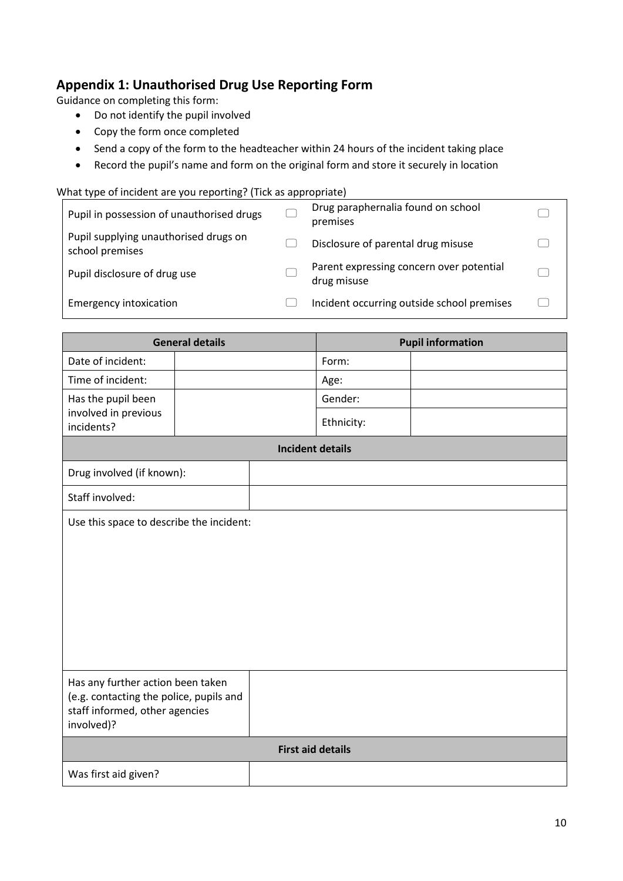# **Appendix 1: Unauthorised Drug Use Reporting Form**

Guidance on completing this form:

- Do not identify the pupil involved
- Copy the form once completed
- Send a copy of the form to the headteacher within 24 hours of the incident taking place
- Record the pupil's name and form on the original form and store it securely in location

#### What type of incident are you reporting? (Tick as appropriate)

| Pupil in possession of unauthorised drugs                | Drug paraphernalia found on school<br>premises          |  |
|----------------------------------------------------------|---------------------------------------------------------|--|
| Pupil supplying unauthorised drugs on<br>school premises | Disclosure of parental drug misuse                      |  |
| Pupil disclosure of drug use                             | Parent expressing concern over potential<br>drug misuse |  |
| <b>Emergency intoxication</b>                            | Incident occurring outside school premises              |  |

| <b>General details</b>                                                                                                       |  | <b>Pupil information</b> |            |  |
|------------------------------------------------------------------------------------------------------------------------------|--|--------------------------|------------|--|
| Date of incident:                                                                                                            |  |                          | Form:      |  |
| Time of incident:                                                                                                            |  |                          | Age:       |  |
| Has the pupil been                                                                                                           |  |                          | Gender:    |  |
| involved in previous<br>incidents?                                                                                           |  |                          | Ethnicity: |  |
|                                                                                                                              |  | <b>Incident details</b>  |            |  |
| Drug involved (if known):                                                                                                    |  |                          |            |  |
| Staff involved:                                                                                                              |  |                          |            |  |
| Use this space to describe the incident:                                                                                     |  |                          |            |  |
| Has any further action been taken<br>(e.g. contacting the police, pupils and<br>staff informed, other agencies<br>involved)? |  |                          |            |  |
| <b>First aid details</b>                                                                                                     |  |                          |            |  |
| Was first aid given?                                                                                                         |  |                          |            |  |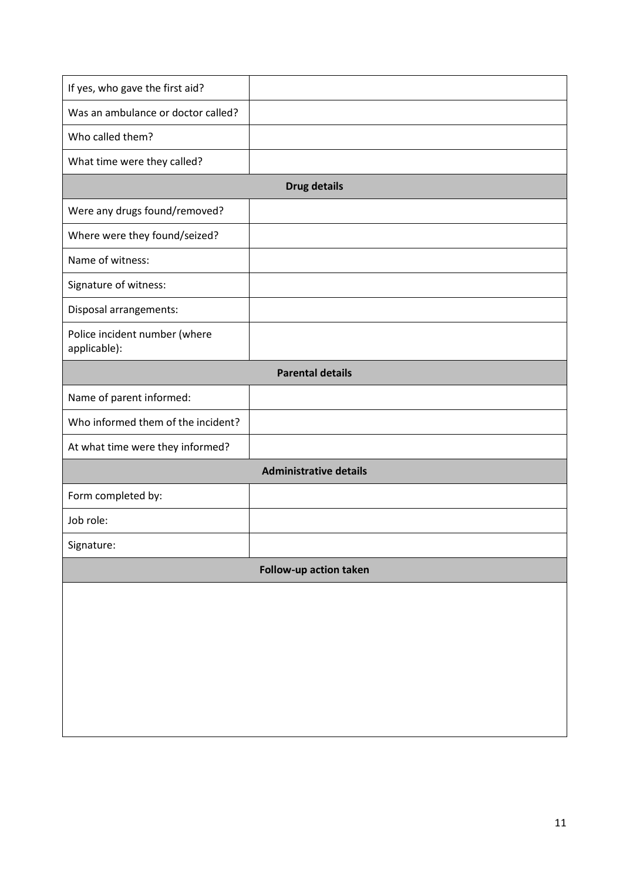| If yes, who gave the first aid?               |                               |  |  |  |
|-----------------------------------------------|-------------------------------|--|--|--|
| Was an ambulance or doctor called?            |                               |  |  |  |
| Who called them?                              |                               |  |  |  |
| What time were they called?                   |                               |  |  |  |
| <b>Drug details</b>                           |                               |  |  |  |
| Were any drugs found/removed?                 |                               |  |  |  |
| Where were they found/seized?                 |                               |  |  |  |
| Name of witness:                              |                               |  |  |  |
| Signature of witness:                         |                               |  |  |  |
| Disposal arrangements:                        |                               |  |  |  |
| Police incident number (where<br>applicable): |                               |  |  |  |
| <b>Parental details</b>                       |                               |  |  |  |
| Name of parent informed:                      |                               |  |  |  |
| Who informed them of the incident?            |                               |  |  |  |
| At what time were they informed?              |                               |  |  |  |
|                                               | <b>Administrative details</b> |  |  |  |
| Form completed by:                            |                               |  |  |  |
| Job role:                                     |                               |  |  |  |
| Signature:                                    |                               |  |  |  |
| Follow-up action taken                        |                               |  |  |  |
|                                               |                               |  |  |  |
|                                               |                               |  |  |  |
|                                               |                               |  |  |  |
|                                               |                               |  |  |  |
|                                               |                               |  |  |  |
|                                               |                               |  |  |  |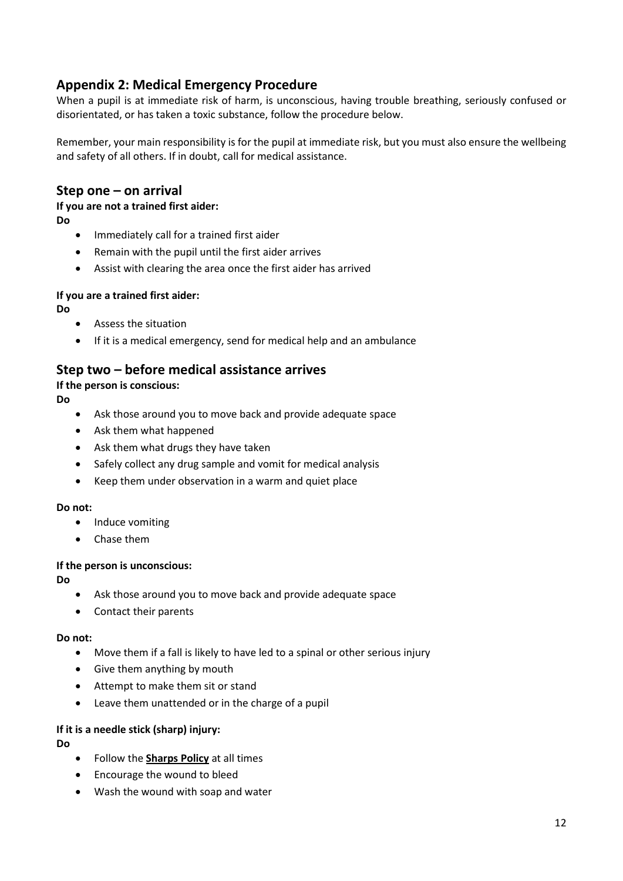# **Appendix 2: Medical Emergency Procedure**

When a pupil is at immediate risk of harm, is unconscious, having trouble breathing, seriously confused or disorientated, or has taken a toxic substance, follow the procedure below.

Remember, your main responsibility is for the pupil at immediate risk, but you must also ensure the wellbeing and safety of all others. If in doubt, call for medical assistance.

## **Step one – on arrival**

# **If you are not a trained first aider:**

**Do**

- Immediately call for a trained first aider
- Remain with the pupil until the first aider arrives
- Assist with clearing the area once the first aider has arrived

#### **If you are a trained first aider:**

**Do**

- Assess the situation
- If it is a medical emergency, send for medical help and an ambulance

## **Step two – before medical assistance arrives**

**If the person is conscious:**

**Do**

- Ask those around you to move back and provide adequate space
- Ask them what happened
- Ask them what drugs they have taken
- Safely collect any drug sample and vomit for medical analysis
- Keep them under observation in a warm and quiet place

#### **Do not:**

- Induce vomiting
- Chase them

#### **If the person is unconscious:**

**Do**

- Ask those around you to move back and provide adequate space
- Contact their parents

#### **Do not:**

- Move them if a fall is likely to have led to a spinal or other serious injury
- Give them anything by mouth
- Attempt to make them sit or stand
- Leave them unattended or in the charge of a pupil

#### **If it is a needle stick (sharp) injury:**

**Do**

- Follow the **Sharps Policy** at all times
- Encourage the wound to bleed
- Wash the wound with soap and water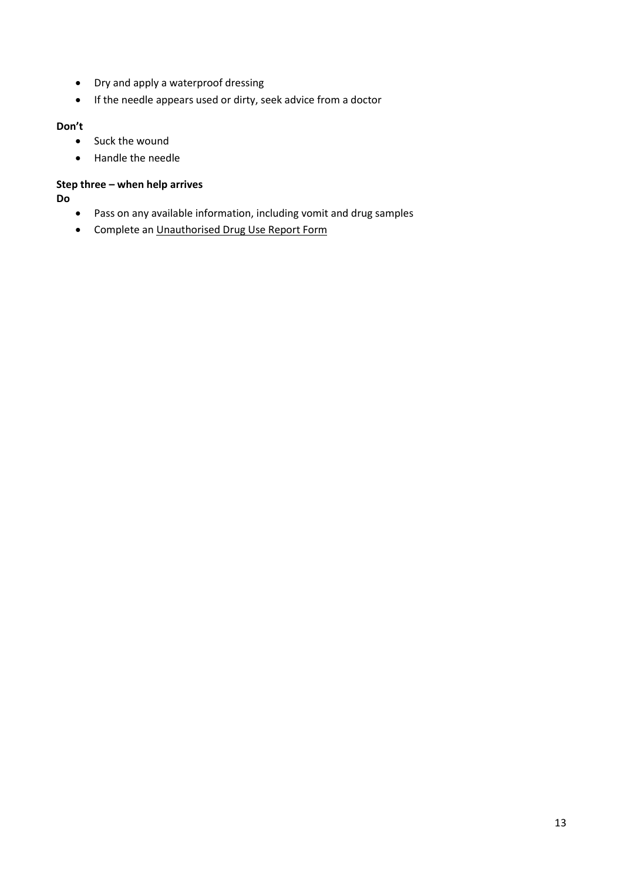- Dry and apply a waterproof dressing
- If the needle appears used or dirty, seek advice from a doctor

#### **Don't**

- Suck the wound
- Handle the needle

#### **Step three – when help arrives**

**Do**

- Pass on any available information, including vomit and drug samples
- Complete an Unauthorised Drug Use Report Form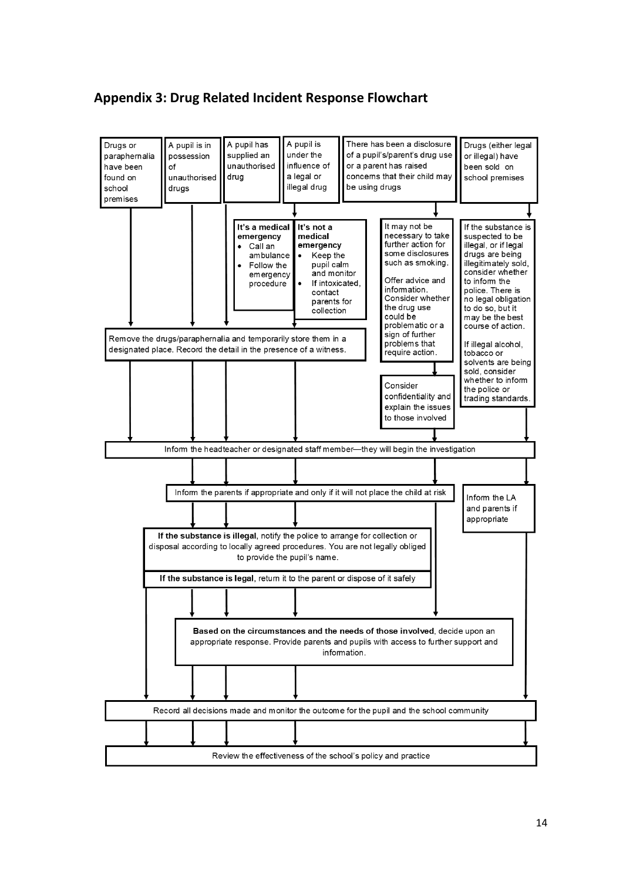## **Appendix 3: Drug Related Incident Response Flowchart**